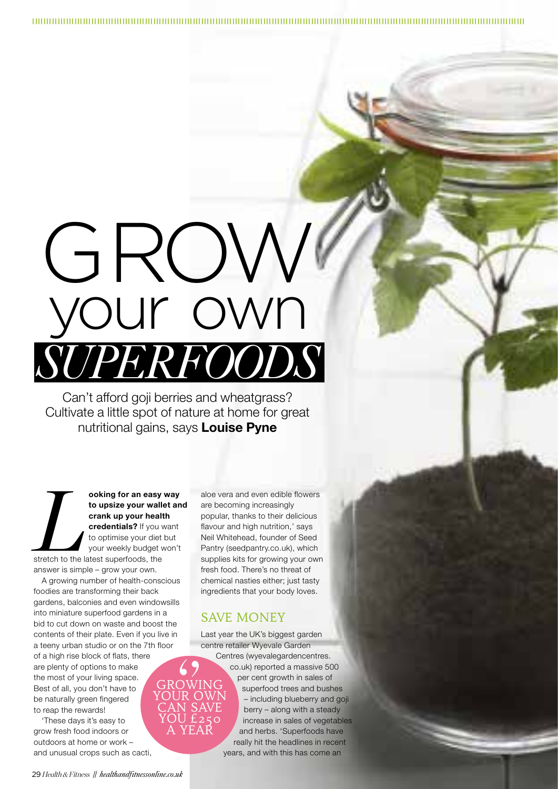# GROW your own *SUPERFOODS*

Can't afford goji berries and wheatgrass? Cultivate a little spot of nature at home for great nutritional gains, says **Louise Pyne**

**Later of an easy way**<br>
to upsize your wallet an<br>
crank up your health<br>
credentials? If you want<br>
to optimise your diet but<br>
your weekly budget won't<br>
stretch to the latest superfoods, the **to upsize your wallet and crank up your health credentials?** If you want to optimise your diet but your weekly budget won't

answer is simple – grow your own. A growing number of health-conscious foodies are transforming their back gardens, balconies and even windowsills into miniature superfood gardens in a bid to cut down on waste and boost the contents of their plate. Even if you live in a teeny urban studio or on the 7th floor of a high rise block of flats, there are plenty of options to make the most of your living space. Best of all, you don't have to be naturally green fingered to reap the rewards!

'These days it's easy to grow fresh food indoors or outdoors at home or work – and unusual crops such as cacti, aloe vera and even edible flowers are becoming increasingly popular, thanks to their delicious flavour and high nutrition,' says Neil Whitehead, founder of Seed Pantry (seedpantry.co.uk), which supplies kits for growing your own fresh food. There's no threat of chemical nasties either; just tasty ingredients that your body loves.

# SAVE MONEY

Last year the UK's biggest garden centre retailer Wyevale Garden

GROWING YOUR OWN CAN SAVE YOU £250 A YEAR *''*

Centres (wyevalegardencentres. co.uk) reported a massive 500 per cent growth in sales of superfood trees and bushes – including blueberry and goji berry – along with a steady increase in sales of vegetables and herbs. 'Superfoods have really hit the headlines in recent years, and with this has come an